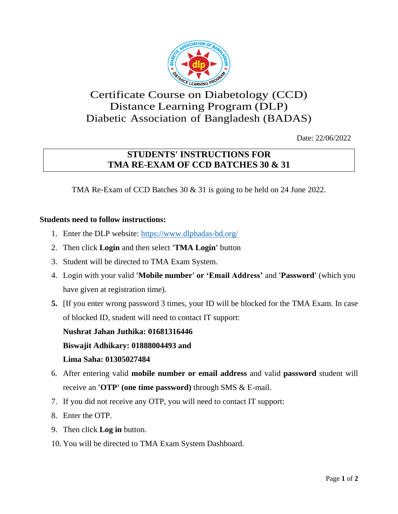

## Certificate Course on Diabetology (CCD) Distance Learning Program (DLP) Diabetic Association of Bangladesh (BADAS)

Date: 22/06/2022

## **STUDENTS' INSTRUCTIONS FOR TMA RE-EXAM OF CCD BATCHES 30 & 31**

TMA Re-Exam of CCD Batches 30 & 31 is going to be held on 24 June 2022.

## **Students need to follow instructions:**

- 1. Enter the DLP website: https://www.dlpbadas-bd.org/
- 2. Then click **Login** and then select **'TMA Login'** button
- 3. Student will be directed to TMA Exam System.
- 4. Login with your valid **'Mobile number' or 'Email Address'** and **'Password'** (which you have given at registration time).
- **5.** [If you enter wrong password 3 times, your ID will be blocked for the TMA Exam. In case of blocked ID, student will need to contact IT support:

**Nushrat Jahan Juthika: 01681316446**

**Biswajit Adhikary: 01888004493 and**

## **Lima Saha: 01305027484**

- 6. After entering valid **mobile number or email address** and valid **password** student will receive an **'OTP' (one time password)** through SMS & E-mail.
- 7. If you did not receive any OTP, you will need to contact IT support:
- 8. Enter the OTP.
- 9. Then click **Log in** button.
- 10. You will be directed to TMA Exam System Dashboard.